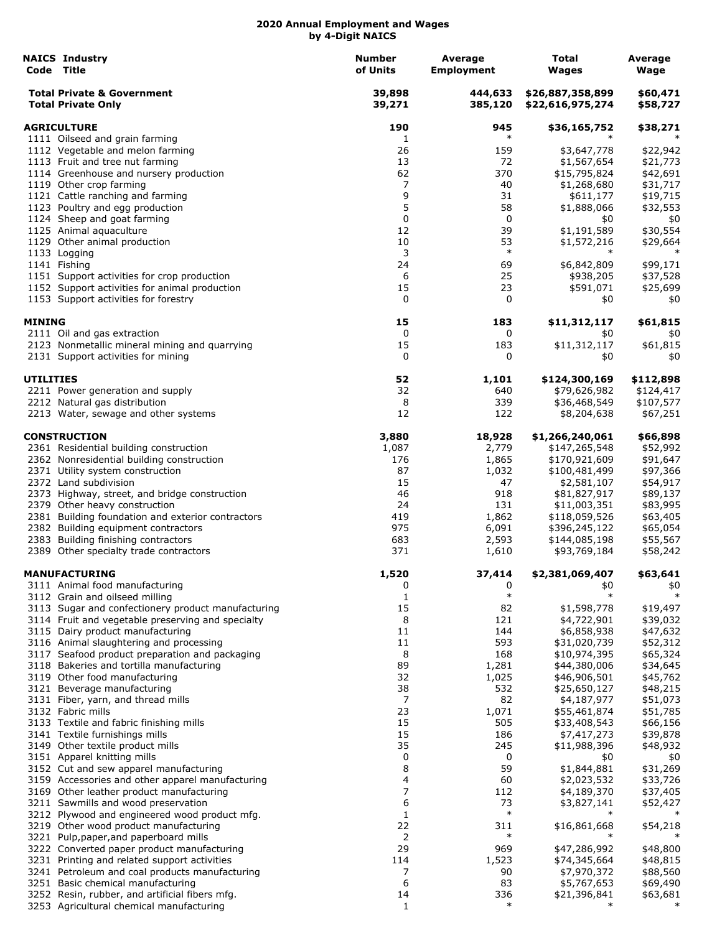|                    | <b>NAICS Industry</b><br>Code Title                                                          | <b>Number</b><br>of Units | Average<br><b>Employment</b> | Total<br>Wages                       | Average<br>Wage      |
|--------------------|----------------------------------------------------------------------------------------------|---------------------------|------------------------------|--------------------------------------|----------------------|
|                    | <b>Total Private &amp; Government</b><br><b>Total Private Only</b>                           | 39,898<br>39,271          | 444,633<br>385,120           | \$26,887,358,899<br>\$22,616,975,274 | \$60,471<br>\$58,727 |
| <b>AGRICULTURE</b> |                                                                                              | 190                       | 945                          | \$36,165,752                         | \$38,271             |
|                    | 1111 Oilseed and grain farming                                                               | 1                         | $\ast$                       | $\ast$                               |                      |
|                    | 1112 Vegetable and melon farming                                                             | 26                        | 159                          | \$3,647,778                          | \$22,942             |
|                    | 1113 Fruit and tree nut farming                                                              | 13                        | 72                           | \$1,567,654                          | \$21,773             |
|                    | 1114 Greenhouse and nursery production                                                       | 62                        | 370                          | \$15,795,824                         | \$42,691             |
|                    | 1119 Other crop farming                                                                      | 7                         | 40                           | \$1,268,680                          | \$31,717             |
|                    | 1121 Cattle ranching and farming                                                             | 9                         | 31                           | \$611,177                            | \$19,715             |
|                    | 1123 Poultry and egg production                                                              | 5                         | 58                           | \$1,888,066                          | \$32,553             |
|                    | 1124 Sheep and goat farming                                                                  | 0                         | 0                            | \$0                                  | \$0                  |
|                    | 1125 Animal aquaculture                                                                      | 12                        | 39                           | \$1,191,589                          | \$30,554             |
|                    | 1129 Other animal production                                                                 | 10                        | 53                           | \$1,572,216                          | \$29,664             |
|                    | 1133 Logging                                                                                 | 3                         | $\ast$                       | $\ast$                               | $\ast$               |
|                    | 1141 Fishing                                                                                 | 24                        | 69                           | \$6,842,809                          | \$99,171             |
|                    | 1151 Support activities for crop production                                                  | 6                         | 25                           | \$938,205                            | \$37,528             |
|                    | 1152 Support activities for animal production                                                | 15                        | 23                           | \$591,071                            | \$25,699             |
|                    | 1153 Support activities for forestry                                                         | 0                         | 0                            | \$0                                  | \$0                  |
| MINING             |                                                                                              | 15                        | 183                          | \$11,312,117                         | \$61,815             |
|                    | 2111 Oil and gas extraction                                                                  | 0                         | 0                            | \$0                                  | \$0                  |
|                    | 2123 Nonmetallic mineral mining and quarrying                                                | 15                        | 183                          | \$11,312,117                         | \$61,815             |
|                    | 2131 Support activities for mining                                                           | 0                         | 0                            | \$0                                  | \$0                  |
| <b>UTILITIES</b>   |                                                                                              | 52                        | 1,101                        | \$124,300,169                        | \$112,898            |
|                    | 2211 Power generation and supply                                                             | 32                        | 640                          | \$79,626,982                         | \$124,417            |
|                    | 2212 Natural gas distribution                                                                | 8                         | 339                          | \$36,468,549                         | \$107,577            |
|                    | 2213 Water, sewage and other systems                                                         | 12                        | 122                          | \$8,204,638                          | \$67,251             |
|                    | <b>CONSTRUCTION</b>                                                                          | 3,880                     | 18,928                       | \$1,266,240,061                      | \$66,898             |
|                    | 2361 Residential building construction                                                       | 1,087                     | 2,779                        | \$147,265,548                        | \$52,992             |
|                    | 2362 Nonresidential building construction                                                    | 176                       | 1,865                        | \$170,921,609                        | \$91,647             |
|                    | 2371 Utility system construction                                                             | 87                        | 1,032                        | \$100,481,499                        | \$97,366             |
|                    | 2372 Land subdivision                                                                        | 15                        | 47                           | \$2,581,107                          | \$54,917             |
|                    | 2373 Highway, street, and bridge construction                                                | 46                        | 918                          | \$81,827,917                         | \$89,137             |
|                    | 2379 Other heavy construction                                                                | 24                        | 131                          | \$11,003,351                         | \$83,995             |
|                    | 2381 Building foundation and exterior contractors                                            | 419                       | 1,862                        | \$118,059,526                        | \$63,405             |
|                    | 2382 Building equipment contractors                                                          | 975                       | 6,091                        | \$396,245,122                        | \$65,054             |
|                    | 2383 Building finishing contractors                                                          | 683                       | 2,593                        | \$144,085,198                        | \$55,567             |
|                    | 2389 Other specialty trade contractors                                                       | 371                       | 1,610                        | \$93,769,184                         | \$58,242             |
|                    | <b>MANUFACTURING</b>                                                                         | 1,520                     | 37,414                       | \$2,381,069,407                      | \$63,641             |
|                    | 3111 Animal food manufacturing                                                               | 0                         | 0                            | \$0                                  | \$0                  |
|                    | 3112 Grain and oilseed milling                                                               | 1                         | $\ast$                       | $\ast$                               | $\ast$               |
|                    | 3113 Sugar and confectionery product manufacturing                                           | 15                        | 82                           | \$1,598,778                          | \$19,497             |
|                    | 3114 Fruit and vegetable preserving and specialty                                            | 8                         | 121                          | \$4,722,901                          | \$39,032             |
|                    | 3115 Dairy product manufacturing                                                             | 11                        | 144                          | \$6,858,938                          | \$47,632             |
|                    | 3116 Animal slaughtering and processing                                                      | 11                        | 593                          | \$31,020,739                         | \$52,312             |
|                    | 3117 Seafood product preparation and packaging                                               | 8                         | 168                          | \$10,974,395                         | \$65,324             |
|                    | 3118 Bakeries and tortilla manufacturing                                                     | 89                        | 1,281                        | \$44,380,006                         | \$34,645             |
|                    | 3119 Other food manufacturing                                                                | 32                        | 1,025                        | \$46,906,501                         | \$45,762             |
|                    | 3121 Beverage manufacturing                                                                  | 38                        | 532                          | \$25,650,127                         | \$48,215             |
|                    | 3131 Fiber, yarn, and thread mills                                                           | 7                         | 82                           | \$4,187,977                          | \$51,073             |
|                    | 3132 Fabric mills                                                                            | 23                        | 1,071                        | \$55,461,874                         | \$51,785             |
|                    | 3133 Textile and fabric finishing mills                                                      | 15                        | 505                          | \$33,408,543                         | \$66,156             |
|                    | 3141 Textile furnishings mills                                                               | 15                        | 186                          | \$7,417,273                          | \$39,878             |
|                    | 3149 Other textile product mills<br>3151 Apparel knitting mills                              | 35<br>0                   | 245                          | \$11,988,396                         | \$48,932             |
|                    |                                                                                              |                           | 0                            | \$0                                  | \$0                  |
|                    | 3152 Cut and sew apparel manufacturing                                                       | 8                         | 59                           | \$1,844,881                          | \$31,269             |
|                    | 3159 Accessories and other apparel manufacturing<br>3169 Other leather product manufacturing | 4<br>7                    | 60<br>112                    | \$2,023,532                          | \$33,726             |
|                    | 3211 Sawmills and wood preservation                                                          | 6                         | 73                           | \$4,189,370<br>\$3,827,141           | \$37,405<br>\$52,427 |
|                    | 3212 Plywood and engineered wood product mfg.                                                | $\mathbf 1$               | $\ast$                       |                                      |                      |
|                    | 3219 Other wood product manufacturing                                                        | 22                        | 311                          | \$16,861,668                         | \$54,218             |
|                    | 3221 Pulp, paper, and paperboard mills                                                       | 2                         | $\ast$                       |                                      |                      |
|                    | 3222 Converted paper product manufacturing                                                   | 29                        | 969                          | \$47,286,992                         | \$48,800             |
|                    | 3231 Printing and related support activities                                                 | 114                       | 1,523                        | \$74,345,664                         | \$48,815             |
|                    | 3241 Petroleum and coal products manufacturing                                               | 7                         | 90                           | \$7,970,372                          |                      |
|                    | 3251 Basic chemical manufacturing                                                            | 6                         | 83                           | \$5,767,653                          | \$88,560<br>\$69,490 |
|                    | 3252 Resin, rubber, and artificial fibers mfg.                                               | 14                        | 336                          | \$21,396,841                         | \$63,681             |
|                    | 3253 Agricultural chemical manufacturing                                                     | 1                         | $\ast$                       | ∗                                    |                      |
|                    |                                                                                              |                           |                              |                                      |                      |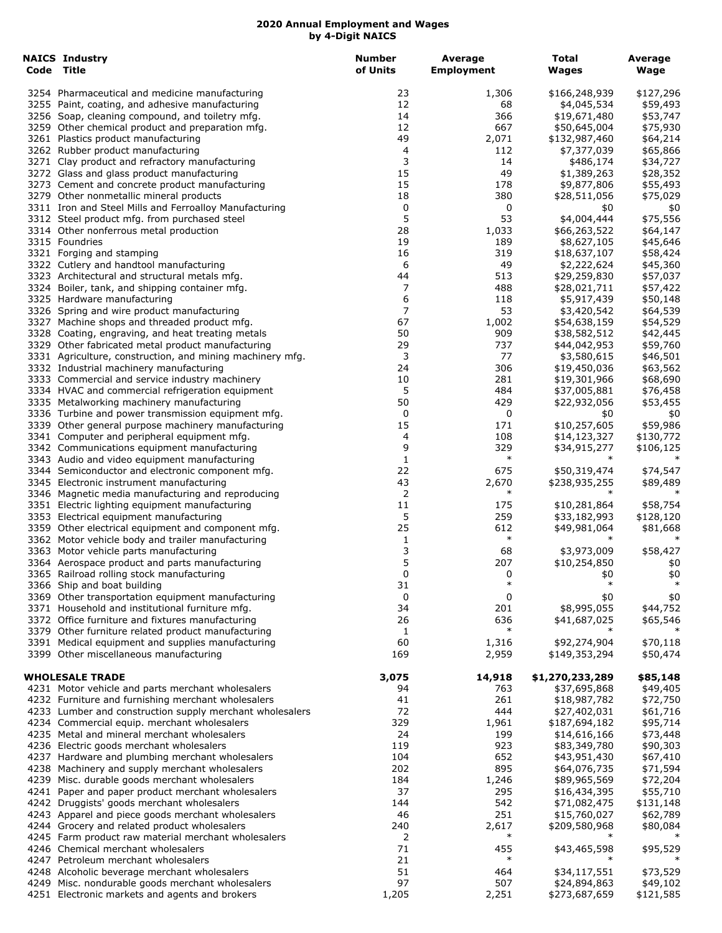| <b>NAICS Industry</b><br>Code Title                                                                     | <b>Number</b><br>of Units | Average<br><b>Employment</b> | <b>Total</b><br>Wages        | Average<br>Wage      |
|---------------------------------------------------------------------------------------------------------|---------------------------|------------------------------|------------------------------|----------------------|
| 3254 Pharmaceutical and medicine manufacturing                                                          | 23                        | 1,306                        | \$166,248,939                | \$127,296            |
| 3255 Paint, coating, and adhesive manufacturing                                                         | 12                        | 68                           | \$4,045,534                  | \$59,493             |
| 3256 Soap, cleaning compound, and toiletry mfg.                                                         | 14                        | 366                          | \$19,671,480                 | \$53,747             |
| 3259 Other chemical product and preparation mfg.                                                        | 12                        | 667                          | \$50,645,004                 | \$75,930             |
| 3261 Plastics product manufacturing                                                                     | 49                        | 2,071                        | \$132,987,460                | \$64,214             |
| 3262 Rubber product manufacturing                                                                       | 4                         | 112                          | \$7,377,039                  | \$65,866             |
| 3271 Clay product and refractory manufacturing                                                          | 3                         | 14                           | \$486,174                    | \$34,727             |
| 3272 Glass and glass product manufacturing                                                              | 15                        | 49                           | \$1,389,263                  | \$28,352             |
| 3273 Cement and concrete product manufacturing<br>3279 Other nonmetallic mineral products               | 15<br>18                  | 178<br>380                   | \$9,877,806<br>\$28,511,056  | \$55,493<br>\$75,029 |
| 3311 Iron and Steel Mills and Ferroalloy Manufacturing                                                  | 0                         | 0                            | \$0                          | \$0                  |
| 3312 Steel product mfg. from purchased steel                                                            | 5                         | 53                           | \$4,004,444                  | \$75,556             |
| 3314 Other nonferrous metal production                                                                  | 28                        | 1,033                        | \$66,263,522                 | \$64,147             |
| 3315 Foundries                                                                                          | 19                        | 189                          | \$8,627,105                  | \$45,646             |
| 3321 Forging and stamping                                                                               | 16                        | 319                          | \$18,637,107                 | \$58,424             |
| 3322 Cutlery and handtool manufacturing                                                                 | 6                         | 49                           | \$2,222,624                  | \$45,360             |
| 3323 Architectural and structural metals mfg.                                                           | 44                        | 513                          | \$29,259,830                 | \$57,037             |
| 3324 Boiler, tank, and shipping container mfg.                                                          | 7                         | 488                          | \$28,021,711                 | \$57,422             |
| 3325 Hardware manufacturing                                                                             | 6                         | 118                          | \$5,917,439                  | \$50,148             |
| 3326 Spring and wire product manufacturing                                                              | 7                         | 53                           | \$3,420,542                  | \$64,539             |
| 3327 Machine shops and threaded product mfg.                                                            | 67                        | 1,002                        | \$54,638,159                 | \$54,529             |
| 3328 Coating, engraving, and heat treating metals                                                       | 50                        | 909                          | \$38,582,512                 | \$42,445             |
| 3329 Other fabricated metal product manufacturing                                                       | 29<br>3                   | 737<br>77                    | \$44,042,953<br>\$3,580,615  | \$59,760             |
| 3331 Agriculture, construction, and mining machinery mfg.<br>3332 Industrial machinery manufacturing    | 24                        | 306                          | \$19,450,036                 | \$46,501<br>\$63,562 |
| 3333 Commercial and service industry machinery                                                          | 10                        | 281                          | \$19,301,966                 | \$68,690             |
| 3334 HVAC and commercial refrigeration equipment                                                        | 5                         | 484                          | \$37,005,881                 | \$76,458             |
| 3335 Metalworking machinery manufacturing                                                               | 50                        | 429                          | \$22,932,056                 | \$53,455             |
| 3336 Turbine and power transmission equipment mfg.                                                      | 0                         | 0                            | \$0                          | \$0                  |
| 3339 Other general purpose machinery manufacturing                                                      | 15                        | 171                          | \$10,257,605                 | \$59,986             |
| 3341 Computer and peripheral equipment mfg.                                                             | 4                         | 108                          | \$14,123,327                 | \$130,772            |
| 3342 Communications equipment manufacturing                                                             | 9                         | 329                          | \$34,915,277                 | \$106,125            |
| 3343 Audio and video equipment manufacturing                                                            | $\mathbf{1}$              | $\ast$                       | $\ast$                       | $\ast$               |
| 3344 Semiconductor and electronic component mfg.                                                        | 22                        | 675                          | \$50,319,474                 | \$74,547             |
| 3345 Electronic instrument manufacturing                                                                | 43                        | 2,670                        | \$238,935,255                | \$89,489             |
| 3346 Magnetic media manufacturing and reproducing                                                       | 2                         | $\ast$                       | $\ast$                       |                      |
| 3351 Electric lighting equipment manufacturing                                                          | 11                        | 175                          | \$10,281,864                 | \$58,754             |
| 3353 Electrical equipment manufacturing                                                                 | 5<br>25                   | 259<br>612                   | \$33,182,993                 | \$128,120            |
| 3359 Other electrical equipment and component mfg.<br>3362 Motor vehicle body and trailer manufacturing | 1                         | $\ast$                       | \$49,981,064                 | \$81,668             |
| 3363 Motor vehicle parts manufacturing                                                                  | 3                         | 68                           | \$3,973,009                  | \$58,427             |
| 3364 Aerospace product and parts manufacturing                                                          | 5                         | 207                          | \$10,254,850                 | \$0                  |
| 3365 Railroad rolling stock manufacturing                                                               | 0                         | 0                            | \$0                          | \$0                  |
| 3366 Ship and boat building                                                                             | 31                        | $\ast$                       | $\ast$                       | ∗                    |
| 3369 Other transportation equipment manufacturing                                                       | 0                         | 0                            | \$0                          | \$0                  |
| 3371 Household and institutional furniture mfg.                                                         | 34                        | 201                          | \$8,995,055                  | \$44,752             |
| 3372 Office furniture and fixtures manufacturing                                                        | 26                        | 636                          | \$41,687,025                 | \$65,546             |
| 3379 Other furniture related product manufacturing                                                      | $\mathbf{1}$              | $\ast$                       |                              |                      |
| 3391 Medical equipment and supplies manufacturing                                                       | 60                        | 1,316                        | \$92,274,904                 | \$70,118             |
| 3399 Other miscellaneous manufacturing                                                                  | 169                       | 2,959                        | \$149,353,294                | \$50,474             |
| <b>WHOLESALE TRADE</b>                                                                                  | 3,075                     | 14,918                       | \$1,270,233,289              | \$85,148             |
| 4231 Motor vehicle and parts merchant wholesalers                                                       | 94                        | 763                          | \$37,695,868                 | \$49,405             |
| 4232 Furniture and furnishing merchant wholesalers                                                      | 41                        | 261                          | \$18,987,782                 | \$72,750             |
| 4233 Lumber and construction supply merchant wholesalers                                                | 72                        | 444                          | \$27,402,031                 | \$61,716             |
| 4234 Commercial equip. merchant wholesalers                                                             | 329                       | 1,961                        | \$187,694,182                | \$95,714             |
| 4235 Metal and mineral merchant wholesalers                                                             | 24                        | 199                          | \$14,616,166                 | \$73,448             |
| 4236 Electric goods merchant wholesalers                                                                | 119                       | 923                          | \$83,349,780                 | \$90,303             |
| 4237 Hardware and plumbing merchant wholesalers                                                         | 104                       | 652                          | \$43,951,430                 | \$67,410             |
| 4238 Machinery and supply merchant wholesalers                                                          | 202                       | 895                          | \$64,076,735                 | \$71,594             |
| 4239 Misc. durable goods merchant wholesalers                                                           | 184                       | 1,246                        | \$89,965,569                 | \$72,204             |
| 4241 Paper and paper product merchant wholesalers                                                       | 37                        | 295                          | \$16,434,395                 | \$55,710             |
| 4242 Druggists' goods merchant wholesalers                                                              | 144<br>46                 | 542<br>251                   | \$71,082,475<br>\$15,760,027 | \$131,148            |
| 4243 Apparel and piece goods merchant wholesalers<br>4244 Grocery and related product wholesalers       | 240                       | 2,617                        | \$209,580,968                | \$62,789<br>\$80,084 |
| 4245 Farm product raw material merchant wholesalers                                                     | 2                         | $\ast$                       |                              | ∗                    |
| 4246 Chemical merchant wholesalers                                                                      | 71                        | 455                          | \$43,465,598                 | \$95,529             |
| 4247 Petroleum merchant wholesalers                                                                     | 21                        | $\ast$                       |                              |                      |
| 4248 Alcoholic beverage merchant wholesalers                                                            | 51                        | 464                          | \$34,117,551                 | \$73,529             |
| 4249 Misc. nondurable goods merchant wholesalers                                                        | 97                        | 507                          | \$24,894,863                 | \$49,102             |
| 4251 Electronic markets and agents and brokers                                                          | 1,205                     | 2,251                        | \$273,687,659                | \$121,585            |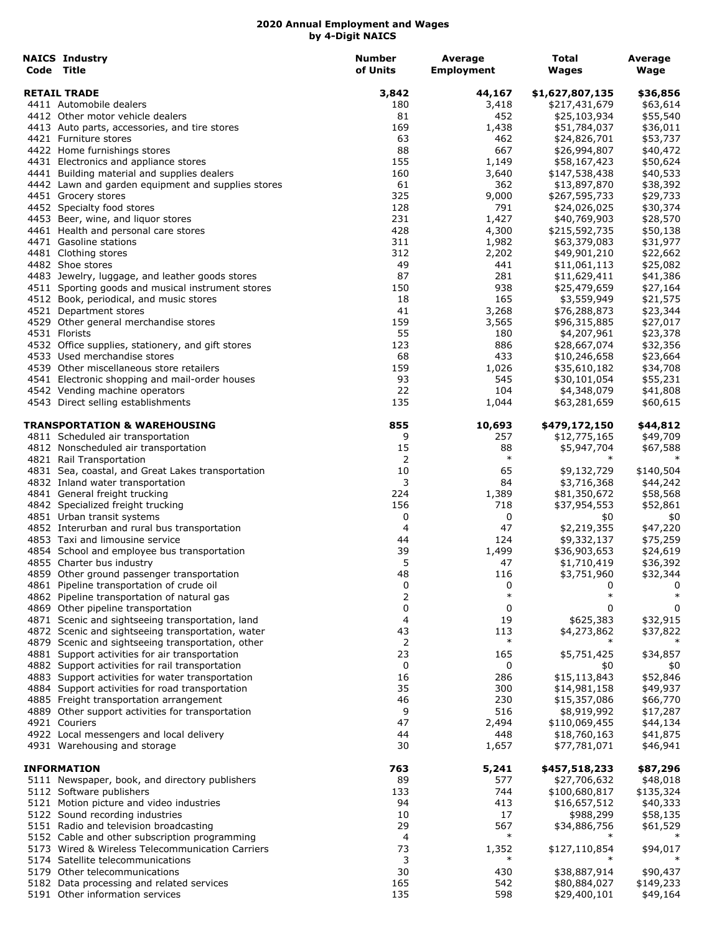| <b>NAICS Industry</b>                                                                                 | <b>Number</b> | Average           | Total                        | Average               |
|-------------------------------------------------------------------------------------------------------|---------------|-------------------|------------------------------|-----------------------|
| Code Title                                                                                            | of Units      | <b>Employment</b> | <b>Wages</b>                 | Wage                  |
| <b>RETAIL TRADE</b>                                                                                   | 3,842         | 44,167            | \$1,627,807,135              | \$36,856              |
| 4411 Automobile dealers                                                                               | 180           | 3,418             | \$217,431,679                | \$63,614              |
| 4412 Other motor vehicle dealers                                                                      | 81            | 452               | \$25,103,934                 | \$55,540              |
| 4413 Auto parts, accessories, and tire stores                                                         | 169           | 1,438             | \$51,784,037                 | \$36,011              |
| 4421 Furniture stores<br>4422 Home furnishings stores                                                 | 63<br>88      | 462<br>667        | \$24,826,701<br>\$26,994,807 | \$53,737<br>\$40,472  |
| 4431 Electronics and appliance stores                                                                 | 155           | 1,149             | \$58,167,423                 | \$50,624              |
| 4441 Building material and supplies dealers                                                           | 160           | 3,640             | \$147,538,438                | \$40,533              |
| 4442 Lawn and garden equipment and supplies stores                                                    | 61            | 362               | \$13,897,870                 | \$38,392              |
| 4451 Grocery stores                                                                                   | 325           | 9,000             | \$267,595,733                | \$29,733              |
| 4452 Specialty food stores                                                                            | 128           | 791               | \$24,026,025                 | \$30,374              |
| 4453 Beer, wine, and liquor stores                                                                    | 231           | 1,427             | \$40,769,903                 | \$28,570              |
| 4461 Health and personal care stores                                                                  | 428           | 4,300             | \$215,592,735                | \$50,138              |
| 4471 Gasoline stations                                                                                | 311           | 1,982             | \$63,379,083                 | \$31,977              |
| 4481 Clothing stores                                                                                  | 312           | 2,202             | \$49,901,210                 | \$22,662              |
| 4482 Shoe stores                                                                                      | 49            | 441               | \$11,061,113                 | \$25,082              |
| 4483 Jewelry, luggage, and leather goods stores                                                       | 87            | 281               | \$11,629,411                 | \$41,386              |
| 4511 Sporting goods and musical instrument stores                                                     | 150           | 938               | \$25,479,659                 | \$27,164              |
| 4512 Book, periodical, and music stores                                                               | 18<br>41      | 165               | \$3,559,949                  | \$21,575              |
| 4521 Department stores<br>4529 Other general merchandise stores                                       | 159           | 3,268<br>3,565    | \$76,288,873<br>\$96,315,885 | \$23,344<br>\$27,017  |
| 4531 Florists                                                                                         | 55            | 180               | \$4,207,961                  | \$23,378              |
| 4532 Office supplies, stationery, and gift stores                                                     | 123           | 886               | \$28,667,074                 | \$32,356              |
| 4533 Used merchandise stores                                                                          | 68            | 433               | \$10,246,658                 | \$23,664              |
| 4539 Other miscellaneous store retailers                                                              | 159           | 1,026             | \$35,610,182                 | \$34,708              |
| 4541 Electronic shopping and mail-order houses                                                        | 93            | 545               | \$30,101,054                 | \$55,231              |
| 4542 Vending machine operators                                                                        | 22            | 104               | \$4,348,079                  | \$41,808              |
| 4543 Direct selling establishments                                                                    | 135           | 1,044             | \$63,281,659                 | \$60,615              |
| TRANSPORTATION & WAREHOUSING                                                                          | 855           | 10,693            | \$479,172,150                | \$44,812              |
| 4811 Scheduled air transportation                                                                     | 9             | 257               | \$12,775,165                 | \$49,709              |
| 4812 Nonscheduled air transportation                                                                  | 15            | 88<br>$\ast$      | \$5,947,704<br>$\ast$        | \$67,588              |
| 4821 Rail Transportation                                                                              | 2<br>10       | 65                | \$9,132,729                  |                       |
| 4831 Sea, coastal, and Great Lakes transportation<br>4832 Inland water transportation                 | 3             | 84                | \$3,716,368                  | \$140,504<br>\$44,242 |
| 4841 General freight trucking                                                                         | 224           | 1,389             | \$81,350,672                 | \$58,568              |
| 4842 Specialized freight trucking                                                                     | 156           | 718               | \$37,954,553                 | \$52,861              |
| 4851 Urban transit systems                                                                            | 0             | 0                 | \$0                          | \$0                   |
| 4852 Interurban and rural bus transportation                                                          | 4             | 47                | \$2,219,355                  | \$47,220              |
| 4853 Taxi and limousine service                                                                       | 44            | 124               | \$9,332,137                  | \$75,259              |
| 4854 School and employee bus transportation                                                           | 39            | 1,499             | \$36,903,653                 | \$24,619              |
| 4855 Charter bus industry                                                                             | 5             | 47                | \$1,710,419                  | \$36,392              |
| 4859 Other ground passenger transportation                                                            | 48            | 116               | \$3,751,960                  | \$32,344              |
| 4861 Pipeline transportation of crude oil                                                             | 0             | 0                 | 0                            | 0                     |
| 4862 Pipeline transportation of natural gas                                                           | 2             | $\ast$            | $\ast$                       | $\ast$                |
| 4869 Other pipeline transportation                                                                    | 0<br>4        | 0<br>19           | 0                            | 0<br>\$32,915         |
| 4871 Scenic and sightseeing transportation, land<br>4872 Scenic and sightseeing transportation, water | 43            | 113               | \$625,383<br>\$4,273,862     | \$37,822              |
| 4879 Scenic and sightseeing transportation, other                                                     | 2             | $\ast$            | $\ast$                       | $\ast$                |
| 4881 Support activities for air transportation                                                        | 23            | 165               | \$5,751,425                  | \$34,857              |
| 4882 Support activities for rail transportation                                                       | 0             | 0                 | \$0                          | \$0                   |
| 4883 Support activities for water transportation                                                      | 16            | 286               | \$15,113,843                 | \$52,846              |
| 4884 Support activities for road transportation                                                       | 35            | 300               | \$14,981,158                 | \$49,937              |
| 4885 Freight transportation arrangement                                                               | 46            | 230               | \$15,357,086                 | \$66,770              |
| 4889 Other support activities for transportation                                                      | 9             | 516               | \$8,919,992                  | \$17,287              |
| 4921 Couriers                                                                                         | 47            | 2,494             | \$110,069,455                | \$44,134              |
| 4922 Local messengers and local delivery                                                              | 44            | 448               | \$18,760,163                 | \$41,875              |
| 4931 Warehousing and storage                                                                          | 30            | 1,657             | \$77,781,071                 | \$46,941              |
| <b>INFORMATION</b>                                                                                    | 763           | 5,241             | \$457,518,233                | \$87,296              |
| 5111 Newspaper, book, and directory publishers                                                        | 89            | 577               | \$27,706,632                 | \$48,018              |
| 5112 Software publishers                                                                              | 133           | 744               | \$100,680,817                | \$135,324             |
| 5121 Motion picture and video industries                                                              | 94            | 413               | \$16,657,512                 | \$40,333              |
| 5122 Sound recording industries                                                                       | 10            | 17<br>567         | \$988,299                    | \$58,135              |
| 5151 Radio and television broadcasting                                                                | 29<br>4       | $\ast$            | \$34,886,756                 | \$61,529<br>∗         |
| 5152 Cable and other subscription programming<br>5173 Wired & Wireless Telecommunication Carriers     | 73            | 1,352             | \$127,110,854                | \$94,017              |
| 5174 Satellite telecommunications                                                                     | 3             | ∗                 |                              |                       |
| 5179 Other telecommunications                                                                         | 30            | 430               | \$38,887,914                 | \$90,437              |
| 5182 Data processing and related services                                                             | 165           | 542               | \$80,884,027                 | \$149,233             |
| 5191 Other information services                                                                       | 135           | 598               | \$29,400,101                 | \$49,164              |
|                                                                                                       |               |                   |                              |                       |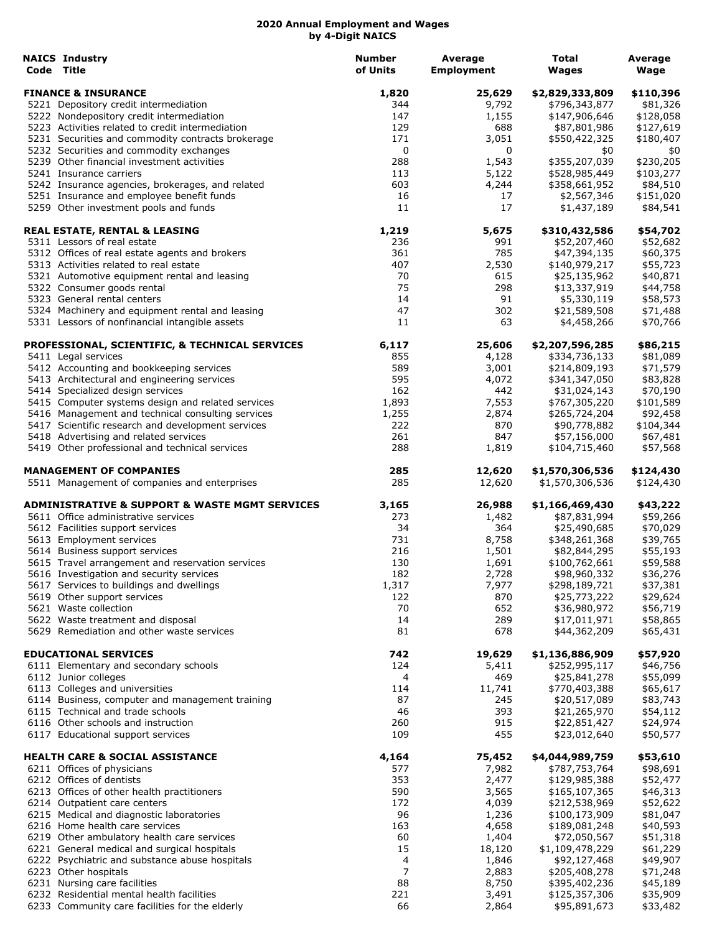| <b>NAICS Industry</b><br>Code Title                                                | <b>Number</b><br>of Units | Average<br><b>Employment</b> | Total<br>Wages               | Average<br>Wage       |
|------------------------------------------------------------------------------------|---------------------------|------------------------------|------------------------------|-----------------------|
| <b>FINANCE &amp; INSURANCE</b>                                                     | 1,820                     | 25,629                       | \$2,829,333,809              | \$110,396             |
| 5221 Depository credit intermediation                                              | 344                       | 9,792                        | \$796,343,877                | \$81,326              |
| 5222 Nondepository credit intermediation                                           | 147                       | 1,155                        | \$147,906,646                | \$128,058             |
| 5223 Activities related to credit intermediation                                   | 129                       | 688                          | \$87,801,986                 | \$127,619             |
| 5231 Securities and commodity contracts brokerage                                  | 171                       | 3,051                        | \$550,422,325                | \$180,407             |
| 5232 Securities and commodity exchanges                                            | 0                         | 0                            | \$0                          | \$0                   |
| 5239 Other financial investment activities                                         | 288                       | 1,543                        | \$355,207,039                | \$230,205             |
| 5241 Insurance carriers                                                            | 113                       | 5,122                        | \$528,985,449                | \$103,277             |
| 5242 Insurance agencies, brokerages, and related                                   | 603                       | 4,244                        | \$358,661,952                | \$84,510              |
| 5251 Insurance and employee benefit funds<br>5259 Other investment pools and funds | 16<br>11                  | 17<br>17                     | \$2,567,346<br>\$1,437,189   | \$151,020<br>\$84,541 |
|                                                                                    |                           |                              |                              |                       |
| <b>REAL ESTATE, RENTAL &amp; LEASING</b><br>5311 Lessors of real estate            | 1,219                     | 5,675                        | \$310,432,586                | \$54,702              |
| 5312 Offices of real estate agents and brokers                                     | 236<br>361                | 991<br>785                   | \$52,207,460<br>\$47,394,135 | \$52,682<br>\$60,375  |
| 5313 Activities related to real estate                                             | 407                       | 2,530                        | \$140,979,217                | \$55,723              |
| 5321 Automotive equipment rental and leasing                                       | 70                        | 615                          | \$25,135,962                 | \$40,871              |
| 5322 Consumer goods rental                                                         | 75                        | 298                          | \$13,337,919                 | \$44,758              |
| 5323 General rental centers                                                        | 14                        | 91                           | \$5,330,119                  | \$58,573              |
| 5324 Machinery and equipment rental and leasing                                    | 47                        | 302                          | \$21,589,508                 | \$71,488              |
| 5331 Lessors of nonfinancial intangible assets                                     | 11                        | 63                           | \$4,458,266                  | \$70,766              |
| PROFESSIONAL, SCIENTIFIC, & TECHNICAL SERVICES                                     | 6,117                     | 25,606                       | \$2,207,596,285              | \$86,215              |
| 5411 Legal services                                                                | 855                       | 4,128                        | \$334,736,133                | \$81,089              |
| 5412 Accounting and bookkeeping services                                           | 589                       | 3,001                        | \$214,809,193                | \$71,579              |
| 5413 Architectural and engineering services                                        | 595                       | 4,072                        | \$341,347,050                | \$83,828              |
| 5414 Specialized design services                                                   | 162                       | 442                          | \$31,024,143                 | \$70,190              |
| 5415 Computer systems design and related services                                  | 1,893                     | 7,553                        | \$767,305,220                | \$101,589             |
| 5416 Management and technical consulting services                                  | 1,255                     | 2,874                        | \$265,724,204                | \$92,458              |
| 5417 Scientific research and development services                                  | 222                       | 870                          | \$90,778,882                 | \$104,344             |
| 5418 Advertising and related services                                              | 261                       | 847                          | \$57,156,000                 | \$67,481              |
| 5419 Other professional and technical services                                     | 288                       | 1,819                        | \$104,715,460                | \$57,568              |
| <b>MANAGEMENT OF COMPANIES</b>                                                     | 285                       | 12,620                       | \$1,570,306,536              | \$124,430             |
| 5511 Management of companies and enterprises                                       | 285                       | 12,620                       | \$1,570,306,536              | \$124,430             |
| <b>ADMINISTRATIVE &amp; SUPPORT &amp; WASTE MGMT SERVICES</b>                      | 3,165                     | 26,988                       | \$1,166,469,430              | \$43,222              |
| 5611 Office administrative services                                                | 273                       | 1,482                        | \$87,831,994                 | \$59,266              |
| 5612 Facilities support services                                                   | 34                        | 364                          | \$25,490,685                 | \$70,029              |
| 5613 Employment services                                                           | 731                       | 8,758                        | \$348,261,368                | \$39,765              |
| 5614 Business support services                                                     | 216                       | 1,501                        | \$82,844,295                 | \$55,193              |
| 5615 Travel arrangement and reservation services                                   | 130<br>182                | 1,691                        | \$100,762,661                | \$59,588              |
| 5616 Investigation and security services                                           |                           | 2,728                        | \$98,960,332                 | \$36,276              |
| 5617 Services to buildings and dwellings                                           | 1,317                     | 7,977                        | \$298,189,721                | \$37,381              |
| 5619 Other support services<br>5621 Waste collection                               | 122<br>70                 | 870<br>652                   | \$25,773,222<br>\$36,980,972 | \$29,624              |
| 5622 Waste treatment and disposal                                                  | 14                        | 289                          | \$17,011,971                 | \$56,719<br>\$58,865  |
| 5629 Remediation and other waste services                                          | 81                        | 678                          | \$44,362,209                 | \$65,431              |
| <b>EDUCATIONAL SERVICES</b>                                                        | 742                       | 19,629                       | \$1,136,886,909              | \$57,920              |
| 6111 Elementary and secondary schools                                              | 124                       | 5,411                        | \$252,995,117                | \$46,756              |
| 6112 Junior colleges                                                               | 4                         | 469                          | \$25,841,278                 | \$55,099              |
| 6113 Colleges and universities                                                     | 114                       | 11,741                       | \$770,403,388                | \$65,617              |
| 6114 Business, computer and management training                                    | 87                        | 245                          | \$20,517,089                 | \$83,743              |
| 6115 Technical and trade schools                                                   | 46                        | 393                          | \$21,265,970                 | \$54,112              |
| 6116 Other schools and instruction                                                 | 260                       | 915                          | \$22,851,427                 | \$24,974              |
| 6117 Educational support services                                                  | 109                       | 455                          | \$23,012,640                 | \$50,577              |
| <b>HEALTH CARE &amp; SOCIAL ASSISTANCE</b>                                         | 4,164                     | 75,452                       | \$4,044,989,759              | \$53,610              |
| 6211 Offices of physicians                                                         | 577                       | 7,982                        | \$787,753,764                | \$98,691              |
| 6212 Offices of dentists                                                           | 353                       | 2,477                        | \$129,985,388                | \$52,477              |
| 6213 Offices of other health practitioners                                         | 590                       | 3,565                        | \$165,107,365                | \$46,313              |
| 6214 Outpatient care centers                                                       | 172                       | 4,039                        | \$212,538,969                | \$52,622              |
| 6215 Medical and diagnostic laboratories                                           | 96                        | 1,236                        | \$100,173,909                | \$81,047              |
| 6216 Home health care services                                                     | 163                       | 4,658                        | \$189,081,248                | \$40,593              |
| 6219 Other ambulatory health care services                                         | 60                        | 1,404                        | \$72,050,567                 | \$51,318              |
| 6221 General medical and surgical hospitals                                        | 15                        | 18,120                       | \$1,109,478,229              | \$61,229              |
| 6222 Psychiatric and substance abuse hospitals                                     | 4                         | 1,846                        | \$92,127,468                 | \$49,907              |
| 6223 Other hospitals                                                               | 7                         | 2,883                        | \$205,408,278                | \$71,248              |
| 6231 Nursing care facilities                                                       | 88                        | 8,750                        | \$395,402,236                | \$45,189              |
| 6232 Residential mental health facilities                                          | 221                       | 3,491                        | \$125,357,306                | \$35,909              |
| 6233 Community care facilities for the elderly                                     | 66                        | 2,864                        | \$95,891,673                 | \$33,482              |